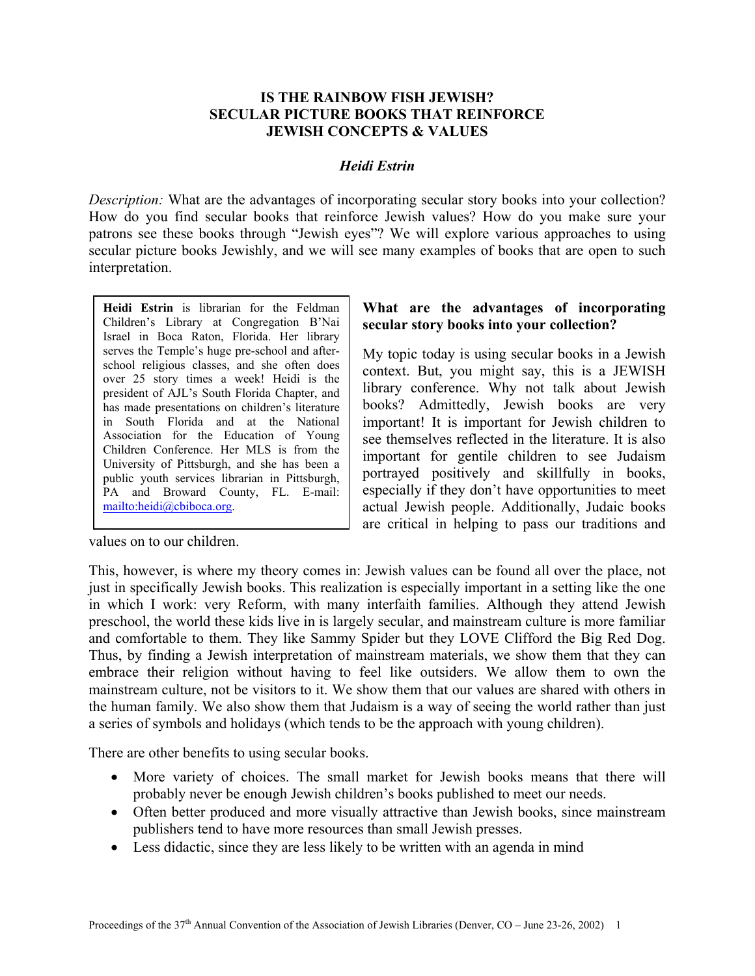## **IS THE RAINBOW FISH JEWISH? SECULAR PICTURE BOOKS THAT REINFORCE JEWISH CONCEPTS & VALUES**

#### *Heidi Estrin*

*Description:* What are the advantages of incorporating secular story books into your collection? How do you find secular books that reinforce Jewish values? How do you make sure your patrons see these books through "Jewish eyes"? We will explore various approaches to using secular picture books Jewishly, and we will see many examples of books that are open to such interpretation.

**Heidi Estrin** is librarian for the Feldman Children's Library at Congregation B'Nai Israel in Boca Raton, Florida. Her library serves the Temple's huge pre-school and afterschool religious classes, and she often does over 25 story times a week! Heidi is the president of AJL's South Florida Chapter, and has made presentations on children's literature in South Florida and at the National Association for the Education of Young Children Conference. Her MLS is from the University of Pittsburgh, and she has been a public youth services librarian in Pittsburgh, PA [and Broward County,](mailto:heidi@cbiboca.org) FL. E-mail: mailto:heidi@cbiboca.org.

# **What are the advantages of incorporating secular story books into your collection?**

My topic today is using secular books in a Jewish context. But, you might say, this is a JEWISH library conference. Why not talk about Jewish books? Admittedly, Jewish books are very important! It is important for Jewish children to see themselves reflected in the literature. It is also important for gentile children to see Judaism portrayed positively and skillfully in books, especially if they don't have opportunities to meet actual Jewish people. Additionally, Judaic books are critical in helping to pass our traditions and

values on to our children.

This, however, is where my theory comes in: Jewish values can be found all over the place, not just in specifically Jewish books. This realization is especially important in a setting like the one in which I work: very Reform, with many interfaith families. Although they attend Jewish preschool, the world these kids live in is largely secular, and mainstream culture is more familiar and comfortable to them. They like Sammy Spider but they LOVE Clifford the Big Red Dog. Thus, by finding a Jewish interpretation of mainstream materials, we show them that they can embrace their religion without having to feel like outsiders. We allow them to own the mainstream culture, not be visitors to it. We show them that our values are shared with others in the human family. We also show them that Judaism is a way of seeing the world rather than just a series of symbols and holidays (which tends to be the approach with young children).

There are other benefits to using secular books.

- More variety of choices. The small market for Jewish books means that there will probably never be enough Jewish children's books published to meet our needs.
- Often better produced and more visually attractive than Jewish books, since mainstream publishers tend to have more resources than small Jewish presses.
- Less didactic, since they are less likely to be written with an agenda in mind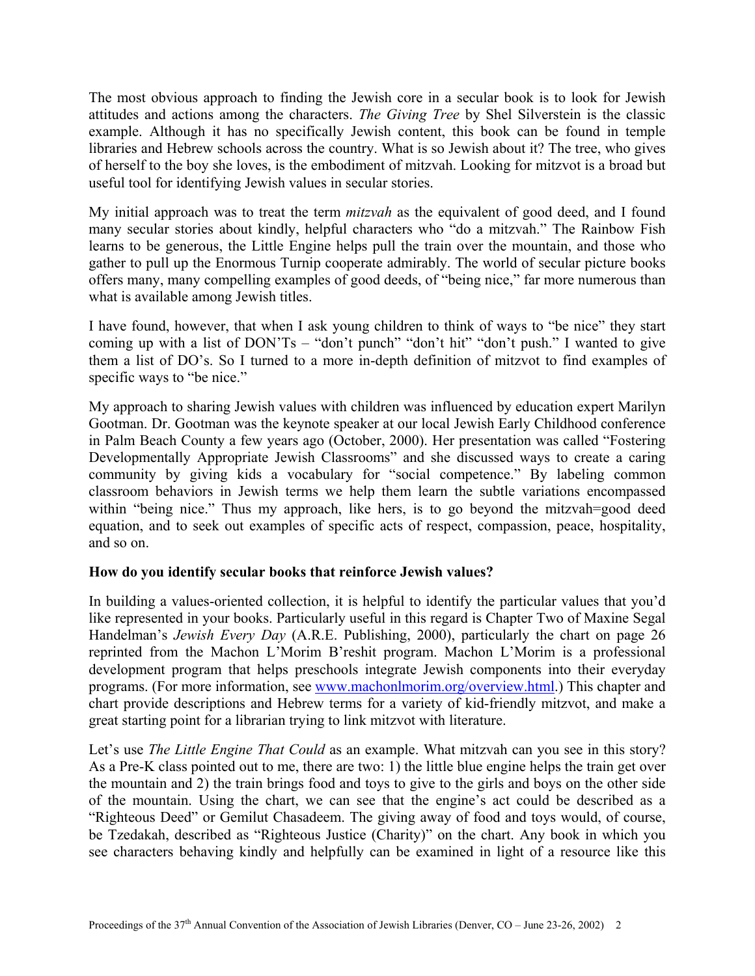The most obvious approach to finding the Jewish core in a secular book is to look for Jewish attitudes and actions among the characters. *The Giving Tree* by Shel Silverstein is the classic example. Although it has no specifically Jewish content, this book can be found in temple libraries and Hebrew schools across the country. What is so Jewish about it? The tree, who gives of herself to the boy she loves, is the embodiment of mitzvah. Looking for mitzvot is a broad but useful tool for identifying Jewish values in secular stories.

My initial approach was to treat the term *mitzvah* as the equivalent of good deed, and I found many secular stories about kindly, helpful characters who "do a mitzvah." The Rainbow Fish learns to be generous, the Little Engine helps pull the train over the mountain, and those who gather to pull up the Enormous Turnip cooperate admirably. The world of secular picture books offers many, many compelling examples of good deeds, of "being nice," far more numerous than what is available among Jewish titles.

I have found, however, that when I ask young children to think of ways to "be nice" they start coming up with a list of DON'Ts – "don't punch" "don't hit" "don't push." I wanted to give them a list of DO's. So I turned to a more in-depth definition of mitzvot to find examples of specific ways to "be nice."

My approach to sharing Jewish values with children was influenced by education expert Marilyn Gootman. Dr. Gootman was the keynote speaker at our local Jewish Early Childhood conference in Palm Beach County a few years ago (October, 2000). Her presentation was called "Fostering Developmentally Appropriate Jewish Classrooms" and she discussed ways to create a caring community by giving kids a vocabulary for "social competence." By labeling common classroom behaviors in Jewish terms we help them learn the subtle variations encompassed within "being nice." Thus my approach, like hers, is to go beyond the mitzvah=good deed equation, and to seek out examples of specific acts of respect, compassion, peace, hospitality, and so on.

## **How do you identify secular books that reinforce Jewish values?**

In building a values-oriented collection, it is helpful to identify the particular values that you'd like represented in your books. Particularly useful in this regard is Chapter Two of Maxine Segal Handelman's *[Jewish Every Day](http://www.arepublish.com/BJED.html)* (A.R.E. Publishing, 2000), particularly the chart on page 26 reprinted from the Machon L'Morim B'reshit program. Machon L'Morim is a professional development program that helps preschools integrate Jewish components into their everyday programs. (For more information, see [www.machonlmorim.org/overview.html.](http://www.machonlmorim.org/overview.html)) This chapter and chart provide descriptions and Hebrew terms for a variety of kid-friendly mitzvot, and make a great starting point for a librarian trying to link mitzvot with literature.

Let's use *The Little Engine That Could* as an example. What mitzvah can you see in this story? As a Pre-K class pointed out to me, there are two: 1) the little blue engine helps the train get over the mountain and 2) the train brings food and toys to give to the girls and boys on the other side of the mountain. Using the chart, we can see that the engine's act could be described as a "Righteous Deed" or Gemilut Chasadeem. The giving away of food and toys would, of course, be Tzedakah, described as "Righteous Justice (Charity)" on the chart. Any book in which you see characters behaving kindly and helpfully can be examined in light of a resource like this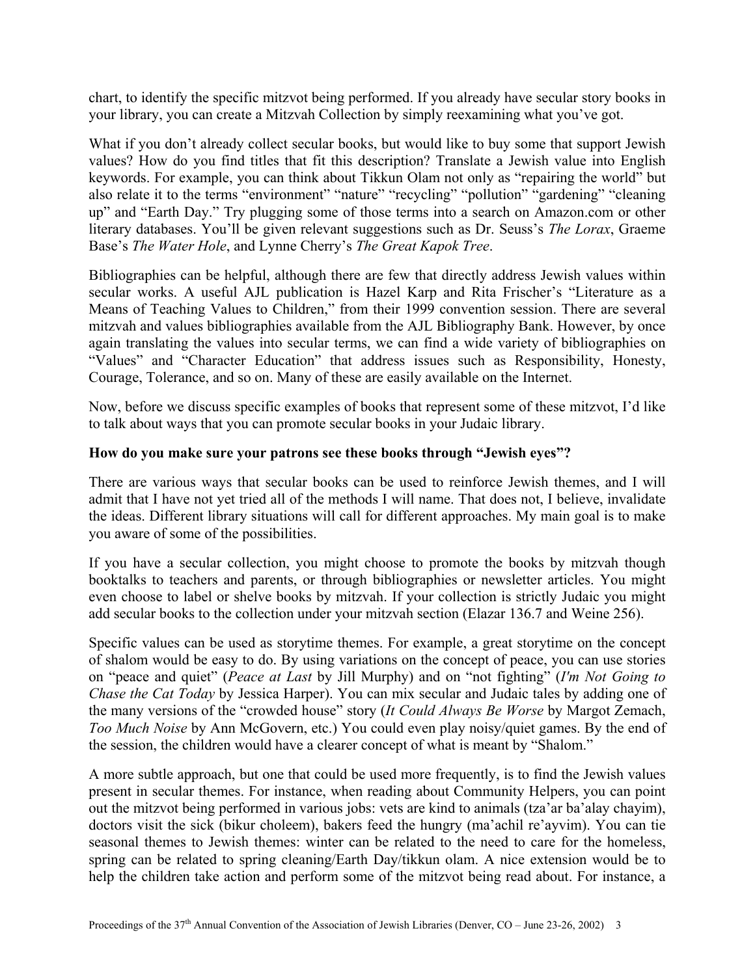chart, to identify the specific mitzvot being performed. If you already have secular story books in your library, you can create a Mitzvah Collection by simply reexamining what you've got.

What if you don't already collect secular books, but would like to buy some that support Jewish values? How do you find titles that fit this description? Translate a Jewish value into English keywords. For example, you can think about Tikkun Olam not only as "repairing the world" but also relate it to the terms "environment" "nature" "recycling" "pollution" "gardening" "cleaning up" and "Earth Day." Try plugging some of those terms into a search on Amazon.com or other literary databases. You'll be given relevant suggestions such as Dr. Seuss's *The Lorax*, Graeme Base's *The Water Hole*, and Lynne Cherry's *The Great Kapok Tree*.

Bibliographies can be helpful, although there are few that directly address Jewish values within secular works. A useful AJL publication is Hazel Karp and Rita Frischer's "Literature as a Means of Teaching Values to Children," from their 1999 convention session. There are several mitzvah and values bibliographies available from the AJL Bibliography Bank. However, by once again translating the values into secular terms, we can find a wide variety of bibliographies on "Values" and "Character Education" that address issues such as Responsibility, Honesty, Courage, Tolerance, and so on. Many of these are easily available on the Internet.

Now, before we discuss specific examples of books that represent some of these mitzvot, I'd like to talk about ways that you can promote secular books in your Judaic library.

## **How do you make sure your patrons see these books through "Jewish eyes"?**

There are various ways that secular books can be used to reinforce Jewish themes, and I will admit that I have not yet tried all of the methods I will name. That does not, I believe, invalidate the ideas. Different library situations will call for different approaches. My main goal is to make you aware of some of the possibilities.

If you have a secular collection, you might choose to promote the books by mitzvah though booktalks to teachers and parents, or through bibliographies or newsletter articles. You might even choose to label or shelve books by mitzvah. If your collection is strictly Judaic you might add secular books to the collection under your mitzvah section (Elazar 136.7 and Weine 256).

Specific values can be used as storytime themes. For example, a great storytime on the concept of shalom would be easy to do. By using variations on the concept of peace, you can use stories on "peace and quiet" (*Peace at Last* by Jill Murphy) and on "not fighting" (*I'm Not Going to Chase the Cat Today* by Jessica Harper). You can mix secular and Judaic tales by adding one of the many versions of the "crowded house" story (*It Could Always Be Worse* by Margot Zemach, *Too Much Noise* by Ann McGovern, etc.) You could even play noisy/quiet games. By the end of the session, the children would have a clearer concept of what is meant by "Shalom."

A more subtle approach, but one that could be used more frequently, is to find the Jewish values present in secular themes. For instance, when reading about Community Helpers, you can point out the mitzvot being performed in various jobs: vets are kind to animals (tza'ar ba'alay chayim), doctors visit the sick (bikur choleem), bakers feed the hungry (ma'achil re'ayvim). You can tie seasonal themes to Jewish themes: winter can be related to the need to care for the homeless, spring can be related to spring cleaning/Earth Day/tikkun olam. A nice extension would be to help the children take action and perform some of the mitzvot being read about. For instance, a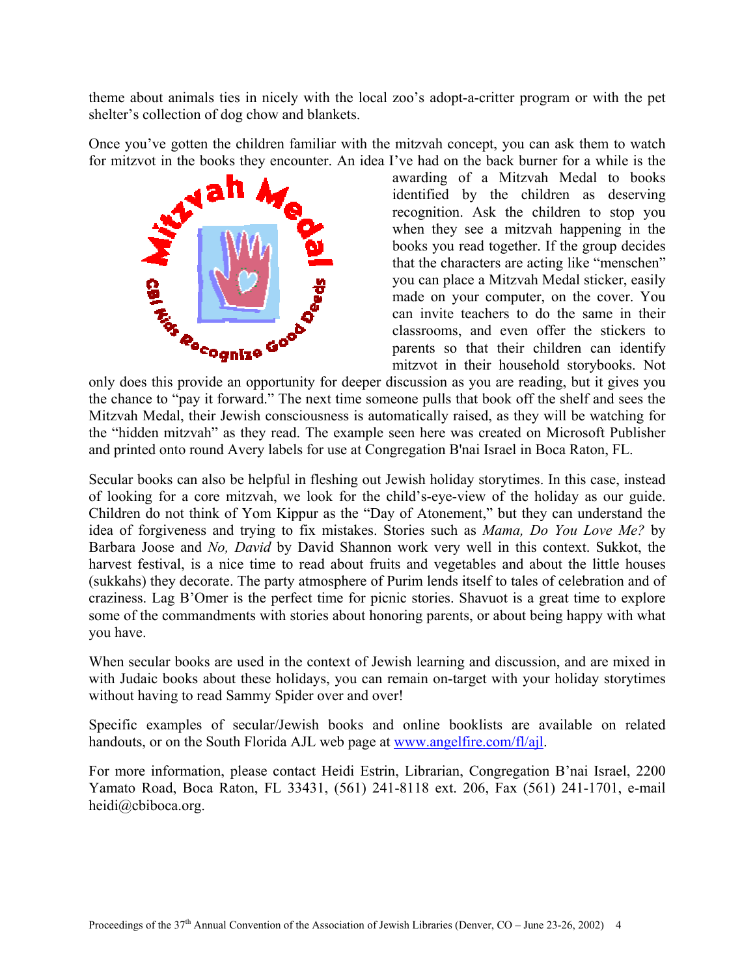theme about animals ties in nicely with the local zoo's adopt-a-critter program or with the pet shelter's collection of dog chow and blankets.

Once you've gotten the children familiar with the mitzvah concept, you can ask them to watch for mitzvot in the books they encounter. An idea I've had on the back burner for a while is the



awarding of a Mitzvah Medal to books identified by the children as deserving recognition. Ask the children to stop you when they see a mitzvah happening in the books you read together. If the group decides that the characters are acting like "menschen" you can place a Mitzvah Medal sticker, easily made on your computer, on the cover. You can invite teachers to do the same in their classrooms, and even offer the stickers to parents so that their children can identify mitzvot in their household storybooks. Not

only does this provide an opportunity for deeper discussion as you are reading, but it gives you the chance to "pay it forward." The next time someone pulls that book off the shelf and sees the Mitzvah Medal, their Jewish consciousness is automatically raised, as they will be watching for the "hidden mitzvah" as they read. The example seen here was created on Microsoft Publisher and printed onto round Avery labels for use at Congregation B'nai Israel in Boca Raton, FL.

Secular books can also be helpful in fleshing out Jewish holiday storytimes. In this case, instead of looking for a core mitzvah, we look for the child's-eye-view of the holiday as our guide. Children do not think of Yom Kippur as the "Day of Atonement," but they can understand the idea of forgiveness and trying to fix mistakes. Stories such as *Mama, Do You Love Me?* by Barbara Joose and *No, David* by David Shannon work very well in this context. Sukkot, the harvest festival, is a nice time to read about fruits and vegetables and about the little houses (sukkahs) they decorate. The party atmosphere of Purim lends itself to tales of celebration and of craziness. Lag B'Omer is the perfect time for picnic stories. Shavuot is a great time to explore some of the commandments with stories about honoring parents, or about being happy with what you have.

When secular books are used in the context of Jewish learning and discussion, and are mixed in with Judaic books about these holidays, you can remain on-target with your holiday storytimes without having to read Sammy Spider over and over!

Specific examples of secular/Jewish books and online booklists are available on related handouts, or on the South Florida AJL web page at [www.angelfire.com/fl/ajl.](http://www.angelfire.com/fl/ajl)

For more information, please contact Heidi Estrin, Librarian, Congregation B'nai Israel, 2200 Yamato Road, Boca Raton, FL 33431, (561) 241-8118 ext. 206, Fax (561) 241-1701, e-mail heidi@cbiboca.org.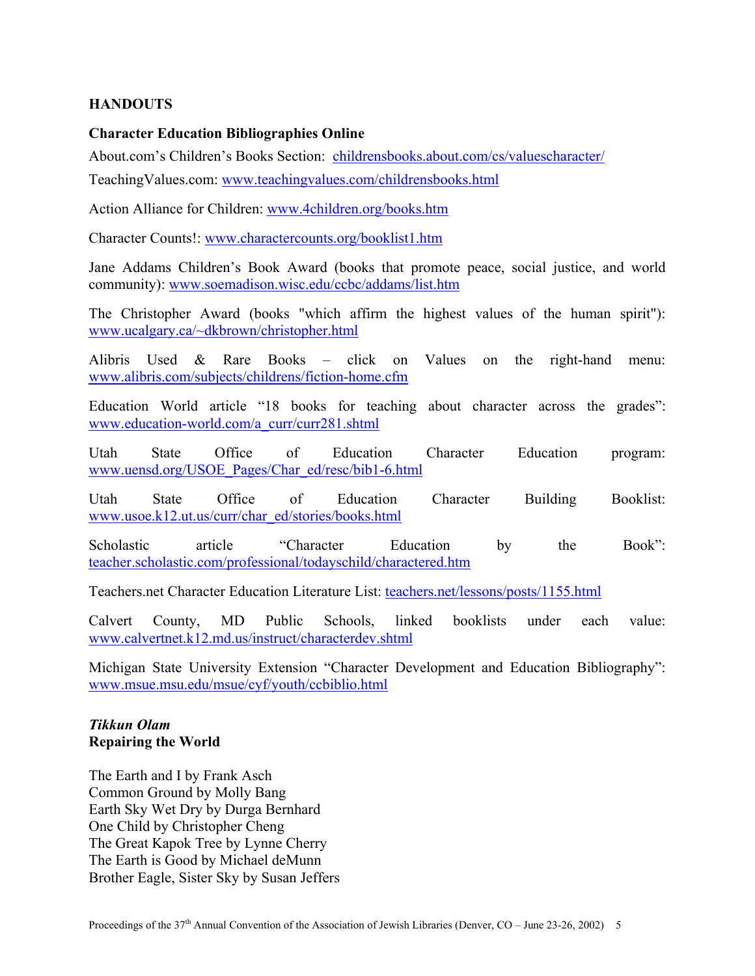## **HANDOUTS**

## **Character Education Bibliographies Online**

About.com's Children's Books Section: [childrensbooks.about.com/cs/valuescharacter/](http://childrensbooks.about.com/cs/valuescharacter/)  TeachingValues.com: [www.teachingvalues.com/childrensbooks.html](http://www.teachingvalues.com/childrensbooks.html) 

Action Alliance for Children: [www.4children.org/books.htm](http://www.4children.org/books.htm) 

Character Counts!: [www.charactercounts.org/booklist1.htm](http://www.charactercounts.org/booklist1.htm) 

Jane Addams Children's Book Award (books that promote peace, social justice, and world community): [www.soemadison.wisc.edu/ccbc/addams/list.htm](http://www.soemadison.wisc.edu/ccbc/addams/list.htm) 

The Christopher Award (books "which affirm the highest values of the human spirit"): [www.ucalgary.ca/~dkbrown/christopher.html](http://www.ucalgary.ca/~dkbrown/christopher.html)

Alibris Used & Rare Books – click on Values on the right-hand menu: [www.alibris.com/subjects/childrens/fiction-home.cfm](http://www.alibris.com/subjects/childrens/fiction-home.cfm) 

Education World article "18 books for teaching about character across the grades": [www.education-world.com/a\\_curr/curr281.shtml](http://www.education-world.com/a_curr/curr281.shtml) 

Utah State Office of Education Character Education program: [www.uensd.org/USOE\\_Pages/Char\\_ed/resc/bib1-6.html](http://www.uensd.org/USOE_Pages/Char_ed/resc/bib1-6.html) 

Utah State Office of Education Character Building Booklist: [www.usoe.k12.ut.us/curr/char\\_ed/stories/books.html](http://www.usoe.k12.ut.us/curr/char_ed/stories/books.html) 

Scholastic article "Character Education by the Book": [teacher.scholastic.com/professional/todayschild/charactered.htm](http://teacher.scholastic.com/professional/todayschild/charactered.htm) 

Teachers.net Character Education Literature List: [teachers.net/lessons/posts/1155.html](http://teachers.net/lessons/posts/1155.html) 

Calvert County, MD Public Schools, linked booklists under each value: [www.calvertnet.k12.md.us/instruct/characterdev.shtml](http://www.calvertnet.k12.md.us/instruct/characterdev.shtml) 

Michigan State University Extension "Character Development and Education Bibliography": [www.msue.msu.edu/msue/cyf/youth/ccbiblio.html](http://www.msue.msu.edu/msue/cyf/youth/ccbiblio.html) 

## *Tikkun Olam*  **Repairing the World**

The Earth and I by Frank Asch Common Ground by Molly Bang Earth Sky Wet Dry by Durga Bernhard One Child by Christopher Cheng The Great Kapok Tree by Lynne Cherry The Earth is Good by Michael deMunn Brother Eagle, Sister Sky by Susan Jeffers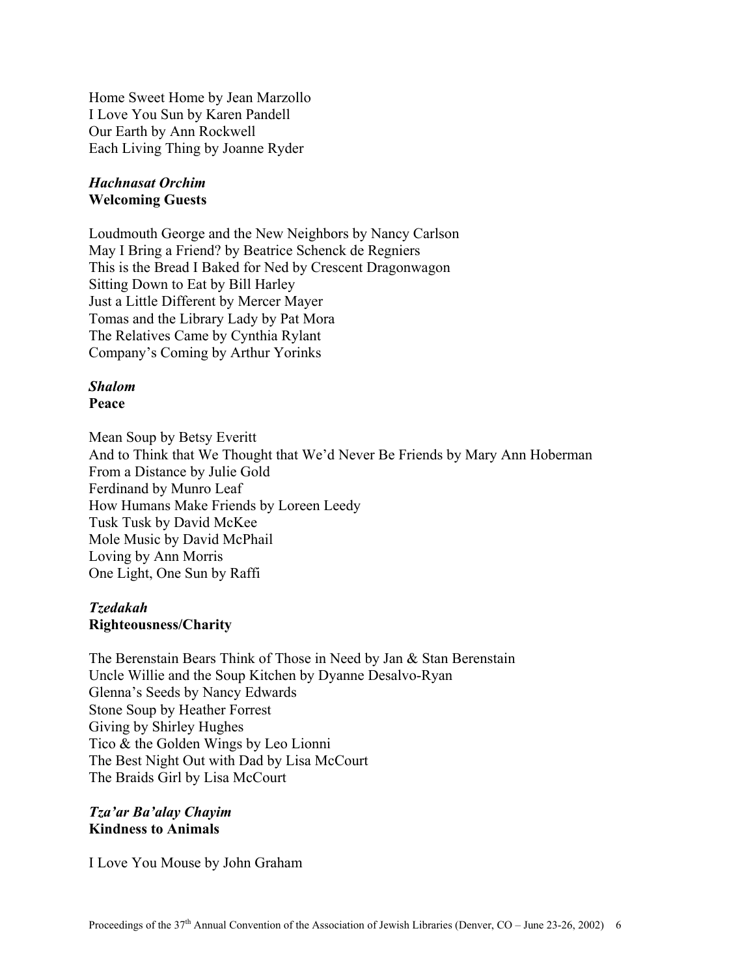Home Sweet Home by Jean Marzollo I Love You Sun by Karen Pandell Our Earth by Ann Rockwell Each Living Thing by Joanne Ryder

### *Hachnasat Orchim*  **Welcoming Guests**

Loudmouth George and the New Neighbors by Nancy Carlson May I Bring a Friend? by Beatrice Schenck de Regniers This is the Bread I Baked for Ned by Crescent Dragonwagon Sitting Down to Eat by Bill Harley Just a Little Different by Mercer Mayer Tomas and the Library Lady by Pat Mora The Relatives Came by Cynthia Rylant Company's Coming by Arthur Yorinks

# *Shalom*

**Peace** 

Mean Soup by Betsy Everitt And to Think that We Thought that We'd Never Be Friends by Mary Ann Hoberman From a Distance by Julie Gold Ferdinand by Munro Leaf How Humans Make Friends by Loreen Leedy Tusk Tusk by David McKee Mole Music by David McPhail Loving by Ann Morris One Light, One Sun by Raffi

## *Tzedakah*  **Righteousness/Charity**

The Berenstain Bears Think of Those in Need by Jan & Stan Berenstain Uncle Willie and the Soup Kitchen by Dyanne Desalvo-Ryan Glenna's Seeds by Nancy Edwards Stone Soup by Heather Forrest Giving by Shirley Hughes Tico & the Golden Wings by Leo Lionni The Best Night Out with Dad by Lisa McCourt The Braids Girl by Lisa McCourt

*Tza'ar Ba'alay Chayim*  **Kindness to Animals** 

I Love You Mouse by John Graham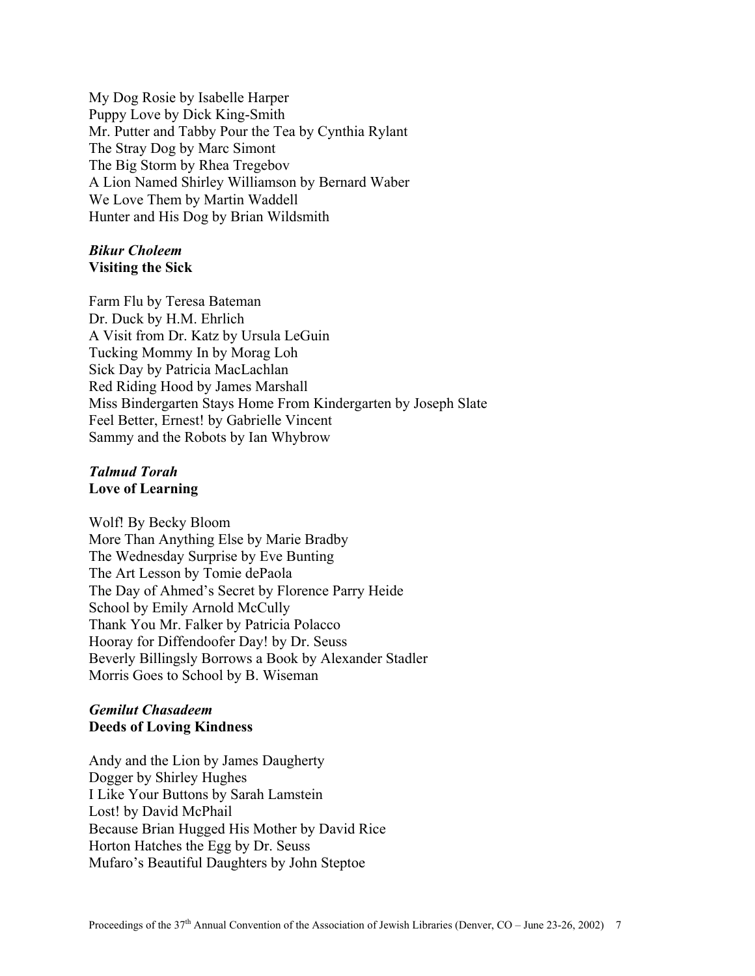My Dog Rosie by Isabelle Harper Puppy Love by Dick King-Smith Mr. Putter and Tabby Pour the Tea by Cynthia Rylant The Stray Dog by Marc Simont The Big Storm by Rhea Tregebov A Lion Named Shirley Williamson by Bernard Waber We Love Them by Martin Waddell Hunter and His Dog by Brian Wildsmith

## *Bikur Choleem*  **Visiting the Sick**

Farm Flu by Teresa Bateman Dr. Duck by H.M. Ehrlich A Visit from Dr. Katz by Ursula LeGuin Tucking Mommy In by Morag Loh Sick Day by Patricia MacLachlan Red Riding Hood by James Marshall Miss Bindergarten Stays Home From Kindergarten by Joseph Slate Feel Better, Ernest! by Gabrielle Vincent Sammy and the Robots by Ian Whybrow

## *Talmud Torah*  **Love of Learning**

Wolf! By Becky Bloom More Than Anything Else by Marie Bradby The Wednesday Surprise by Eve Bunting The Art Lesson by Tomie dePaola The Day of Ahmed's Secret by Florence Parry Heide School by Emily Arnold McCully Thank You Mr. Falker by Patricia Polacco Hooray for Diffendoofer Day! by Dr. Seuss Beverly Billingsly Borrows a Book by Alexander Stadler Morris Goes to School by B. Wiseman

# *Gemilut Chasadeem*  **Deeds of Loving Kindness**

Andy and the Lion by James Daugherty Dogger by Shirley Hughes I Like Your Buttons by Sarah Lamstein Lost! by David McPhail Because Brian Hugged His Mother by David Rice Horton Hatches the Egg by Dr. Seuss Mufaro's Beautiful Daughters by John Steptoe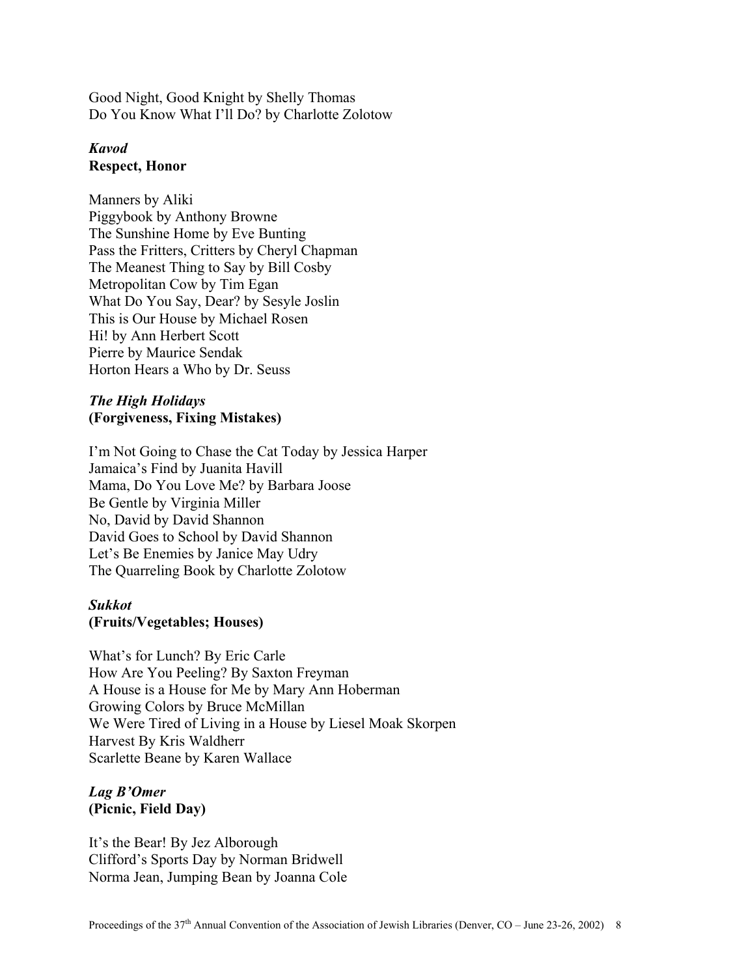Good Night, Good Knight by Shelly Thomas Do You Know What I'll Do? by Charlotte Zolotow

# *Kavod*  **Respect, Honor**

Manners by Aliki Piggybook by Anthony Browne The Sunshine Home by Eve Bunting Pass the Fritters, Critters by Cheryl Chapman The Meanest Thing to Say by Bill Cosby Metropolitan Cow by Tim Egan What Do You Say, Dear? by Sesyle Joslin This is Our House by Michael Rosen Hi! by Ann Herbert Scott Pierre by Maurice Sendak Horton Hears a Who by Dr. Seuss

# *The High Holidays*  **(Forgiveness, Fixing Mistakes)**

I'm Not Going to Chase the Cat Today by Jessica Harper Jamaica's Find by Juanita Havill Mama, Do You Love Me? by Barbara Joose Be Gentle by Virginia Miller No, David by David Shannon David Goes to School by David Shannon Let's Be Enemies by Janice May Udry The Quarreling Book by Charlotte Zolotow

## *Sukkot*  **(Fruits/Vegetables; Houses)**

What's for Lunch? By Eric Carle How Are You Peeling? By Saxton Freyman A House is a House for Me by Mary Ann Hoberman Growing Colors by Bruce McMillan We Were Tired of Living in a House by Liesel Moak Skorpen Harvest By Kris Waldherr Scarlette Beane by Karen Wallace

# *Lag B'Omer*  **(Picnic, Field Day)**

It's the Bear! By Jez Alborough Clifford's Sports Day by Norman Bridwell Norma Jean, Jumping Bean by Joanna Cole